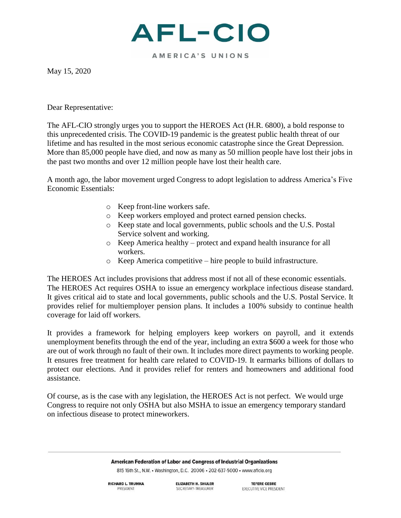

AMERICA'S UNIONS

May 15, 2020

Dear Representative:

The AFL-CIO strongly urges you to support the HEROES Act (H.R. 6800), a bold response to this unprecedented crisis. The COVID-19 pandemic is the greatest public health threat of our lifetime and has resulted in the most serious economic catastrophe since the Great Depression. More than 85,000 people have died, and now as many as 50 million people have lost their jobs in the past two months and over 12 million people have lost their health care.

A month ago, the labor movement urged Congress to adopt legislation to address America's Five Economic Essentials:

- o Keep front-line workers safe.
- o Keep workers employed and protect earned pension checks.
- o Keep state and local governments, public schools and the U.S. Postal Service solvent and working.
- o Keep America healthy protect and expand health insurance for all workers.
- o Keep America competitive hire people to build infrastructure.

The HEROES Act includes provisions that address most if not all of these economic essentials. The HEROES Act requires OSHA to issue an emergency workplace infectious disease standard. It gives critical aid to state and local governments, public schools and the U.S. Postal Service. It provides relief for multiemployer pension plans. It includes a 100% subsidy to continue health coverage for laid off workers.

It provides a framework for helping employers keep workers on payroll, and it extends unemployment benefits through the end of the year, including an extra \$600 a week for those who are out of work through no fault of their own. It includes more direct payments to working people. It ensures free treatment for health care related to COVID-19. It earmarks billions of dollars to protect our elections. And it provides relief for renters and homeowners and additional food assistance.

Of course, as is the case with any legislation, the HEROES Act is not perfect. We would urge Congress to require not only OSHA but also MSHA to issue an emergency temporary standard on infectious disease to protect mineworkers.

## American Federation of Labor and Congress of Industrial Organizations

815 16th St., N.W. • Washington, D.C. 20006 • 202-637-5000 • www.aflcio.org

**RICHARD L. TRUMKA** PRESIDENT

**ELIZABETH H. SHULER** SECRETARY-TREASURER

**TEFERE GEBRE** EXECUTIVE VICE PRESIDENT